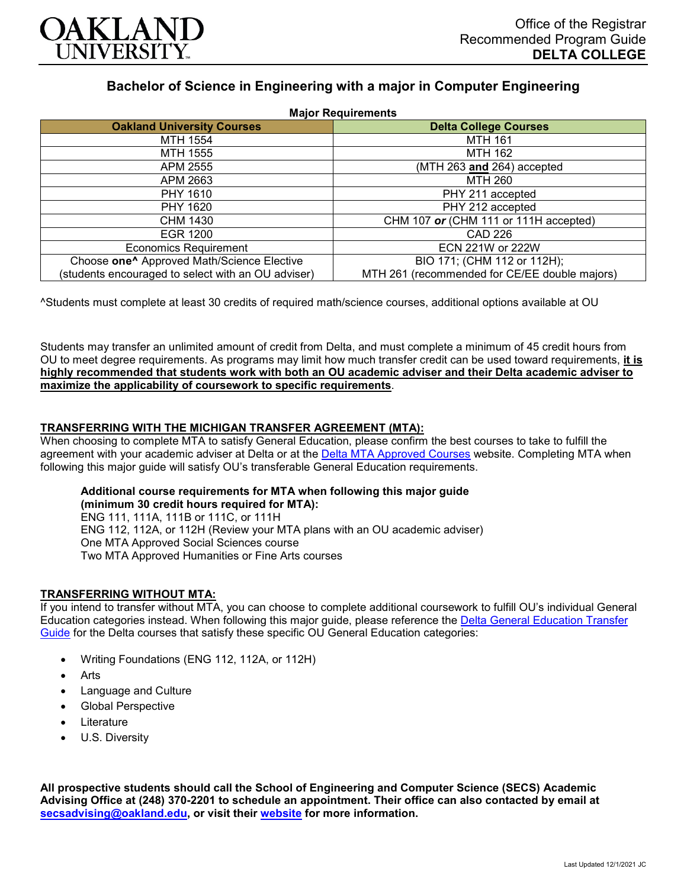

# **Bachelor of Science in Engineering with a major in Computer Engineering**

| <b>Major Requirements</b>                              |                                               |
|--------------------------------------------------------|-----------------------------------------------|
| <b>Oakland University Courses</b>                      | <b>Delta College Courses</b>                  |
| MTH 1554                                               | <b>MTH 161</b>                                |
| MTH 1555                                               | <b>MTH 162</b>                                |
| APM 2555                                               | (MTH 263 and 264) accepted                    |
| APM 2663                                               | MTH 260                                       |
| PHY 1610                                               | PHY 211 accepted                              |
| PHY 1620                                               | PHY 212 accepted                              |
| CHM 1430                                               | CHM 107 or (CHM 111 or 111H accepted)         |
| <b>EGR 1200</b>                                        | CAD 226                                       |
| <b>Economics Requirement</b>                           | ECN 221W or 222W                              |
| Choose one <sup>^</sup> Approved Math/Science Elective | BIO 171; (CHM 112 or 112H);                   |
| (students encouraged to select with an OU adviser)     | MTH 261 (recommended for CE/EE double majors) |

^Students must complete at least 30 credits of required math/science courses, additional options available at OU

Students may transfer an unlimited amount of credit from Delta, and must complete a minimum of 45 credit hours from OU to meet degree requirements. As programs may limit how much transfer credit can be used toward requirements, **it is highly recommended that students work with both an OU academic adviser and their Delta academic adviser to maximize the applicability of coursework to specific requirements**.

## **TRANSFERRING WITH THE MICHIGAN TRANSFER AGREEMENT (MTA):**

When choosing to complete MTA to satisfy General Education, please confirm the best courses to take to fulfill the agreement with your academic adviser at Delta or at the [Delta MTA Approved Courses](http://catalog.delta.edu/content.php?catoid=11&navoid=1451) website. Completing MTA when following this major guide will satisfy OU's transferable General Education requirements.

### **Additional course requirements for MTA when following this major guide (minimum 30 credit hours required for MTA):**

ENG 111, 111A, 111B or 111C, or 111H ENG 112, 112A, or 112H (Review your MTA plans with an OU academic adviser) One MTA Approved Social Sciences course Two MTA Approved Humanities or Fine Arts courses

# **TRANSFERRING WITHOUT MTA:**

If you intend to transfer without MTA, you can choose to complete additional coursework to fulfill OU's individual General Education categories instead. When following this major guide, please reference the [Delta General Education Transfer](https://www.oakland.edu/Assets/Oakland/program-guides/delta-college/university-general-education-requirements/Delta%20Gen%20Ed.pdf)  [Guide](https://www.oakland.edu/Assets/Oakland/program-guides/delta-college/university-general-education-requirements/Delta%20Gen%20Ed.pdf) for the Delta courses that satisfy these specific OU General Education categories:

- Writing Foundations (ENG 112, 112A, or 112H)
- Arts
- Language and Culture
- Global Perspective
- **Literature**
- U.S. Diversity

**All prospective students should call the School of Engineering and Computer Science (SECS) Academic Advising Office at (248) 370-2201 to schedule an appointment. Their office can also contacted by email at [secsadvising@oakland.edu,](mailto:secsadvising@oakland.edu) or visit their [website](https://wwwp.oakland.edu/secs/advising/) for more information.**